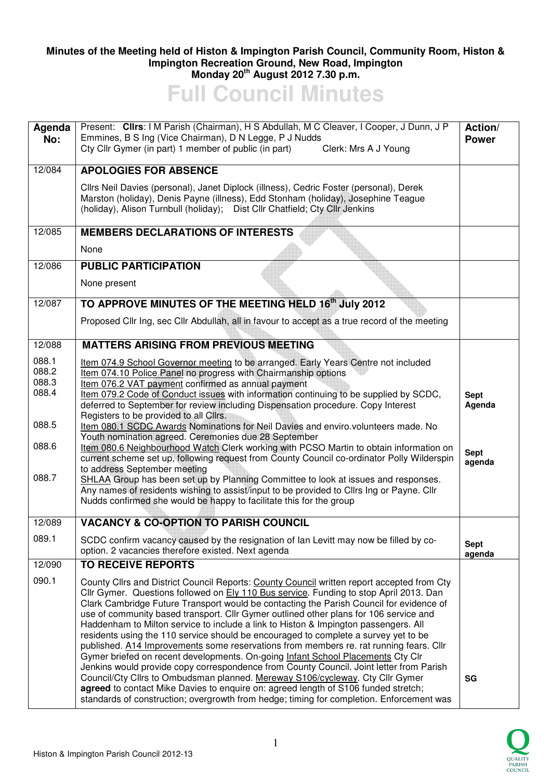## **Minutes of the Meeting held of Histon & Impington Parish Council, Community Room, Histon & Impington Recreation Ground, New Road, Impington Monday 20th August 2012 7.30 p.m.**

**Full Council Minutes** 

| Agenda<br>No:                                               | Present: Clirs: I M Parish (Chairman), H S Abdullah, M C Cleaver, I Cooper, J Dunn, J P<br>Emmines, B S Ing (Vice Chairman), D N Legge, P J Nudds<br>Cty Cllr Gymer (in part) 1 member of public (in part)<br>Clerk: Mrs A J Young                                                                                                                                                                                                                                                                                                                                                                                                                                                                                                                                                                                                                                                                                                                                                                                                                                                                | Action/<br><b>Power</b>                        |
|-------------------------------------------------------------|---------------------------------------------------------------------------------------------------------------------------------------------------------------------------------------------------------------------------------------------------------------------------------------------------------------------------------------------------------------------------------------------------------------------------------------------------------------------------------------------------------------------------------------------------------------------------------------------------------------------------------------------------------------------------------------------------------------------------------------------------------------------------------------------------------------------------------------------------------------------------------------------------------------------------------------------------------------------------------------------------------------------------------------------------------------------------------------------------|------------------------------------------------|
| 12/084                                                      | <b>APOLOGIES FOR ABSENCE</b>                                                                                                                                                                                                                                                                                                                                                                                                                                                                                                                                                                                                                                                                                                                                                                                                                                                                                                                                                                                                                                                                      |                                                |
|                                                             | Cllrs Neil Davies (personal), Janet Diplock (illness), Cedric Foster (personal), Derek<br>Marston (holiday), Denis Payne (illness), Edd Stonham (holiday), Josephine Teague<br>(holiday), Alison Turnbull (holiday);  Dist Cllr Chatfield; Cty Cllr Jenkins                                                                                                                                                                                                                                                                                                                                                                                                                                                                                                                                                                                                                                                                                                                                                                                                                                       |                                                |
| 12/085                                                      | <b>MEMBERS DECLARATIONS OF INTERESTS</b>                                                                                                                                                                                                                                                                                                                                                                                                                                                                                                                                                                                                                                                                                                                                                                                                                                                                                                                                                                                                                                                          |                                                |
|                                                             | None                                                                                                                                                                                                                                                                                                                                                                                                                                                                                                                                                                                                                                                                                                                                                                                                                                                                                                                                                                                                                                                                                              |                                                |
| 12/086                                                      | <b>PUBLIC PARTICIPATION</b>                                                                                                                                                                                                                                                                                                                                                                                                                                                                                                                                                                                                                                                                                                                                                                                                                                                                                                                                                                                                                                                                       |                                                |
|                                                             | None present                                                                                                                                                                                                                                                                                                                                                                                                                                                                                                                                                                                                                                                                                                                                                                                                                                                                                                                                                                                                                                                                                      |                                                |
| 12/087                                                      | TO APPROVE MINUTES OF THE MEETING HELD 16th July 2012                                                                                                                                                                                                                                                                                                                                                                                                                                                                                                                                                                                                                                                                                                                                                                                                                                                                                                                                                                                                                                             |                                                |
|                                                             | Proposed Cllr Ing, sec Cllr Abdullah, all in favour to accept as a true record of the meeting                                                                                                                                                                                                                                                                                                                                                                                                                                                                                                                                                                                                                                                                                                                                                                                                                                                                                                                                                                                                     |                                                |
| 12/088                                                      | <b>MATTERS ARISING FROM PREVIOUS MEETING</b>                                                                                                                                                                                                                                                                                                                                                                                                                                                                                                                                                                                                                                                                                                                                                                                                                                                                                                                                                                                                                                                      |                                                |
| 088.1<br>088.2<br>088.3<br>088.4<br>088.5<br>088.6<br>088.7 | Item 074.9 School Governor meeting to be arranged. Early Years Centre not included<br>Item 074.10 Police Panel no progress with Chairmanship options<br>Item 076.2 VAT payment confirmed as annual payment<br>Item 079.2 Code of Conduct issues with information continuing to be supplied by SCDC,<br>deferred to September for review including Dispensation procedure. Copy Interest<br>Registers to be provided to all Cllrs.<br>Item 080.1 SCDC Awards Nominations for Neil Davies and enviro.volunteers made. No<br>Youth nomination agreed. Ceremonies due 28 September<br>Item 080.6 Neighbourhood Watch Clerk working with PCSO Martin to obtain information on<br>current scheme set up, following request from County Council co-ordinator Polly Wilderspin<br>to address September meeting<br>SHLAA Group has been set up by Planning Committee to look at issues and responses.                                                                                                                                                                                                      | <b>Sept</b><br>Agenda<br><b>Sept</b><br>agenda |
|                                                             | Any names of residents wishing to assist/input to be provided to Cllrs Ing or Payne. Cllr<br>Nudds confirmed she would be happy to facilitate this for the group                                                                                                                                                                                                                                                                                                                                                                                                                                                                                                                                                                                                                                                                                                                                                                                                                                                                                                                                  |                                                |
| 12/089                                                      | <b>VACANCY &amp; CO-OPTION TO PARISH COUNCIL</b>                                                                                                                                                                                                                                                                                                                                                                                                                                                                                                                                                                                                                                                                                                                                                                                                                                                                                                                                                                                                                                                  |                                                |
| 089.1                                                       | SCDC confirm vacancy caused by the resignation of lan Levitt may now be filled by co-<br>option. 2 vacancies therefore existed. Next agenda                                                                                                                                                                                                                                                                                                                                                                                                                                                                                                                                                                                                                                                                                                                                                                                                                                                                                                                                                       | <b>Sept</b><br>agenda                          |
| 12/090                                                      | <b>TO RECEIVE REPORTS</b>                                                                                                                                                                                                                                                                                                                                                                                                                                                                                                                                                                                                                                                                                                                                                                                                                                                                                                                                                                                                                                                                         |                                                |
| 090.1                                                       | County Cllrs and District Council Reports: County Council written report accepted from Cty<br>Cllr Gymer. Questions followed on Ely 110 Bus service. Funding to stop April 2013. Dan<br>Clark Cambridge Future Transport would be contacting the Parish Council for evidence of<br>use of community based transport. Cllr Gymer outlined other plans for 106 service and<br>Haddenham to Milton service to include a link to Histon & Impington passengers. All<br>residents using the 110 service should be encouraged to complete a survey yet to be<br>published. A14 Improvements some reservations from members re. rat running fears. Cllr<br>Gymer briefed on recent developments. On-going Infant School Placements Cty Clr<br>Jenkins would provide copy correspondence from County Council. Joint letter from Parish<br>Council/Cty Cllrs to Ombudsman planned. Mereway S106/cycleway. Cty Cllr Gymer<br>agreed to contact Mike Davies to enquire on: agreed length of S106 funded stretch;<br>standards of construction; overgrowth from hedge; timing for completion. Enforcement was | SG                                             |

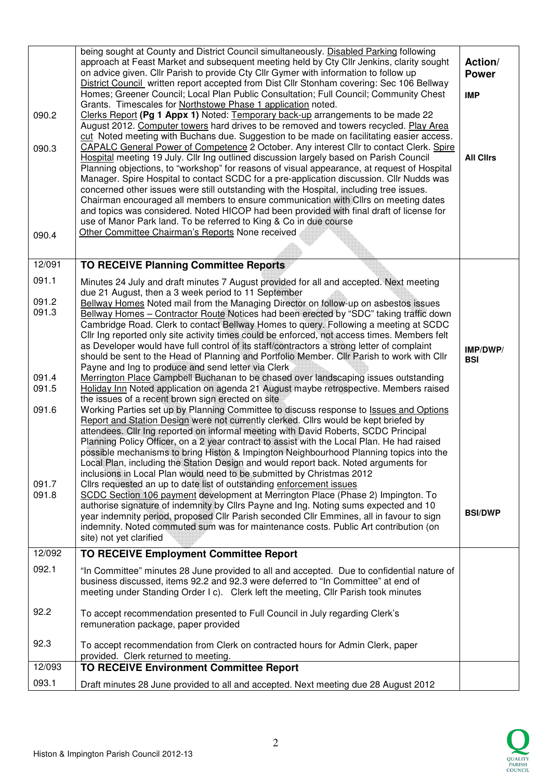| 090.2          | being sought at County and District Council simultaneously. Disabled Parking following<br>approach at Feast Market and subsequent meeting held by Cty Cllr Jenkins, clarity sought<br>on advice given. Cllr Parish to provide Cty Cllr Gymer with information to follow up<br>District Council written report accepted from Dist Cllr Stonham covering: Sec 106 Bellway<br>Homes; Greener Council; Local Plan Public Consultation; Full Council; Community Chest<br>Grants. Timescales for Northstowe Phase 1 application noted.<br>Clerks Report (Pg 1 Appx 1) Noted: Temporary back-up arrangements to be made 22<br>August 2012. Computer towers hard drives to be removed and towers recycled. Play Area<br>cut Noted meeting with Buchans due. Suggestion to be made on facilitating easier access. | Action/<br><b>Power</b><br><b>IMP</b> |
|----------------|----------------------------------------------------------------------------------------------------------------------------------------------------------------------------------------------------------------------------------------------------------------------------------------------------------------------------------------------------------------------------------------------------------------------------------------------------------------------------------------------------------------------------------------------------------------------------------------------------------------------------------------------------------------------------------------------------------------------------------------------------------------------------------------------------------|---------------------------------------|
| 090.3<br>090.4 | CAPALC General Power of Competence 2 October. Any interest Cllr to contact Clerk. Spire<br>Hospital meeting 19 July. Cllr Ing outlined discussion largely based on Parish Council<br>Planning objections, to "workshop" for reasons of visual appearance, at request of Hospital<br>Manager. Spire Hospital to contact SCDC for a pre-application discussion. Cllr Nudds was<br>concerned other issues were still outstanding with the Hospital, including tree issues.<br>Chairman encouraged all members to ensure communication with Cllrs on meeting dates<br>and topics was considered. Noted HICOP had been provided with final draft of license for<br>use of Manor Park land. To be referred to King & Co in due course<br>Other Committee Chairman's Reports None received                      | <b>All Clirs</b>                      |
|                |                                                                                                                                                                                                                                                                                                                                                                                                                                                                                                                                                                                                                                                                                                                                                                                                          |                                       |
| 12/091         | <b>TO RECEIVE Planning Committee Reports</b>                                                                                                                                                                                                                                                                                                                                                                                                                                                                                                                                                                                                                                                                                                                                                             |                                       |
| 091.1<br>091.2 | Minutes 24 July and draft minutes 7 August provided for all and accepted. Next meeting<br>due 21 August, then a 3 week period to 11 September                                                                                                                                                                                                                                                                                                                                                                                                                                                                                                                                                                                                                                                            |                                       |
| 091.3          | Bellway Homes Noted mail from the Managing Director on follow-up on asbestos issues<br>Bellway Homes - Contractor Route Notices had been erected by "SDC" taking traffic down<br>Cambridge Road. Clerk to contact Bellway Homes to query. Following a meeting at SCDC<br>Cllr Ing reported only site activity times could be enforced, not access times. Members felt<br>as Developer would have full control of its staff/contractors a strong letter of complaint<br>should be sent to the Head of Planning and Portfolio Member. Cllr Parish to work with Cllr<br>Payne and Ing to produce and send letter via Clerk                                                                                                                                                                                  | IMP/DWP/<br><b>BSI</b>                |
| 091.4<br>091.5 | Merrington Place Campbell Buchanan to be chased over landscaping issues outstanding<br>Holiday Inn Noted application on agenda 21 August maybe retrospective. Members raised<br>the issues of a recent brown sign erected on site                                                                                                                                                                                                                                                                                                                                                                                                                                                                                                                                                                        |                                       |
| 091.6          | Working Parties set up by Planning Committee to discuss response to <b>Issues and Options</b><br>Report and Station Design were not currently clerked. Clirs would be kept briefed by<br>attendees. Cllr Ing reported on informal meeting with David Roberts, SCDC Principal<br>Planning Policy Officer, on a 2 year contract to assist with the Local Plan. He had raised<br>possible mechanisms to bring Histon & Impington Neighbourhood Planning topics into the<br>Local Plan, including the Station Design and would report back. Noted arguments for<br>inclusions in Local Plan would need to be submitted by Christmas 2012                                                                                                                                                                     |                                       |
| 091.7<br>091.8 | Cllrs requested an up to date list of outstanding enforcement issues<br>SCDC Section 106 payment development at Merrington Place (Phase 2) Impington. To<br>authorise signature of indemnity by Cllrs Payne and Ing. Noting sums expected and 10<br>year indemnity period, proposed Cllr Parish seconded Cllr Emmines, all in favour to sign<br>indemnity. Noted commuted sum was for maintenance costs. Public Art contribution (on<br>site) not yet clarified                                                                                                                                                                                                                                                                                                                                          | <b>BSI/DWP</b>                        |
| 12/092         | <b>TO RECEIVE Employment Committee Report</b>                                                                                                                                                                                                                                                                                                                                                                                                                                                                                                                                                                                                                                                                                                                                                            |                                       |
| 092.1          | "In Committee" minutes 28 June provided to all and accepted. Due to confidential nature of<br>business discussed, items 92.2 and 92.3 were deferred to "In Committee" at end of<br>meeting under Standing Order I c). Clerk left the meeting, Cllr Parish took minutes                                                                                                                                                                                                                                                                                                                                                                                                                                                                                                                                   |                                       |
| 92.2           | To accept recommendation presented to Full Council in July regarding Clerk's<br>remuneration package, paper provided                                                                                                                                                                                                                                                                                                                                                                                                                                                                                                                                                                                                                                                                                     |                                       |
| 92.3           | To accept recommendation from Clerk on contracted hours for Admin Clerk, paper<br>provided. Clerk returned to meeting.                                                                                                                                                                                                                                                                                                                                                                                                                                                                                                                                                                                                                                                                                   |                                       |
| 12/093         | <b>TO RECEIVE Environment Committee Report</b>                                                                                                                                                                                                                                                                                                                                                                                                                                                                                                                                                                                                                                                                                                                                                           |                                       |
| 093.1          | Draft minutes 28 June provided to all and accepted. Next meeting due 28 August 2012                                                                                                                                                                                                                                                                                                                                                                                                                                                                                                                                                                                                                                                                                                                      |                                       |

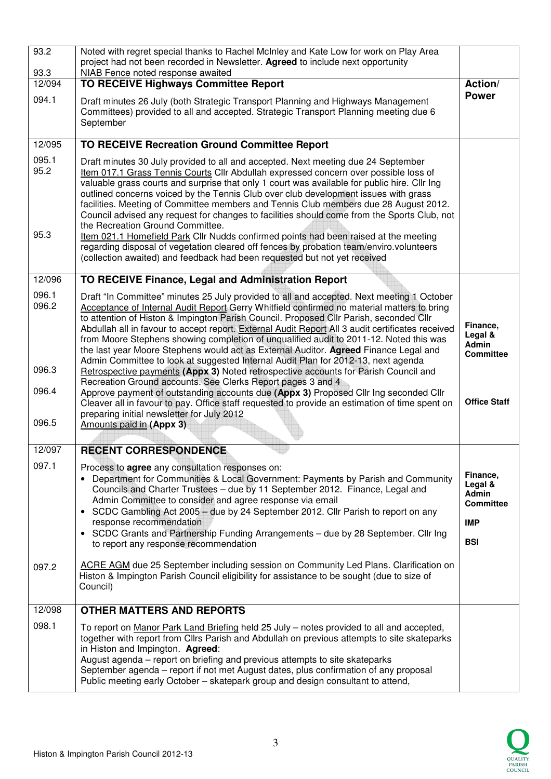| 93.2<br>93.3          | Noted with regret special thanks to Rachel McInley and Kate Low for work on Play Area<br>project had not been recorded in Newsletter. Agreed to include next opportunity<br>NIAB Fence noted response awaited                                                                                                                                                                                                                                                                                                                                                                                                                                                                                                                                                                  |                                                                              |
|-----------------------|--------------------------------------------------------------------------------------------------------------------------------------------------------------------------------------------------------------------------------------------------------------------------------------------------------------------------------------------------------------------------------------------------------------------------------------------------------------------------------------------------------------------------------------------------------------------------------------------------------------------------------------------------------------------------------------------------------------------------------------------------------------------------------|------------------------------------------------------------------------------|
| 12/094                | <b>TO RECEIVE Highways Committee Report</b>                                                                                                                                                                                                                                                                                                                                                                                                                                                                                                                                                                                                                                                                                                                                    | Action/                                                                      |
| 094.1                 | Draft minutes 26 July (both Strategic Transport Planning and Highways Management<br>Committees) provided to all and accepted. Strategic Transport Planning meeting due 6<br>September                                                                                                                                                                                                                                                                                                                                                                                                                                                                                                                                                                                          | <b>Power</b>                                                                 |
| 12/095                | <b>TO RECEIVE Recreation Ground Committee Report</b>                                                                                                                                                                                                                                                                                                                                                                                                                                                                                                                                                                                                                                                                                                                           |                                                                              |
| 095.1<br>95.2<br>95.3 | Draft minutes 30 July provided to all and accepted. Next meeting due 24 September<br>Item 017.1 Grass Tennis Courts Cllr Abdullah expressed concern over possible loss of<br>valuable grass courts and surprise that only 1 court was available for public hire. Cllr Ing<br>outlined concerns voiced by the Tennis Club over club development issues with grass<br>facilities. Meeting of Committee members and Tennis Club members due 28 August 2012.<br>Council advised any request for changes to facilities should come from the Sports Club, not<br>the Recreation Ground Committee.<br>Item 021.1 Homefield Park Cllr Nudds confirmed points had been raised at the meeting<br>regarding disposal of vegetation cleared off fences by probation team/enviro.volunteers |                                                                              |
|                       | (collection awaited) and feedback had been requested but not yet received                                                                                                                                                                                                                                                                                                                                                                                                                                                                                                                                                                                                                                                                                                      |                                                                              |
| 12/096                | TO RECEIVE Finance, Legal and Administration Report                                                                                                                                                                                                                                                                                                                                                                                                                                                                                                                                                                                                                                                                                                                            |                                                                              |
| 096.1<br>096.2        | Draft "In Committee" minutes 25 July provided to all and accepted. Next meeting 1 October<br>Acceptance of Internal Audit Report Gerry Whitfield confirmed no material matters to bring<br>to attention of Histon & Impington Parish Council. Proposed Cllr Parish, seconded Cllr<br>Abdullah all in favour to accept report. External Audit Report All 3 audit certificates received<br>from Moore Stephens showing completion of unqualified audit to 2011-12. Noted this was<br>the last year Moore Stephens would act as External Auditor. Agreed Finance Legal and                                                                                                                                                                                                        | Finance,<br>Legal &<br><b>Admin</b><br><b>Committee</b>                      |
| 096.3                 | Admin Committee to look at suggested Internal Audit Plan for 2012-13, next agenda<br>Retrospective payments (Appx 3) Noted retrospective accounts for Parish Council and<br>Recreation Ground accounts. See Clerks Report pages 3 and 4                                                                                                                                                                                                                                                                                                                                                                                                                                                                                                                                        |                                                                              |
| 096.4                 | Approve payment of outstanding accounts due (Appx 3) Proposed Cllr Ing seconded Cllr<br>Cleaver all in favour to pay. Office staff requested to provide an estimation of time spent on                                                                                                                                                                                                                                                                                                                                                                                                                                                                                                                                                                                         | <b>Office Staff</b>                                                          |
| 096.5                 | preparing initial newsletter for July 2012<br>Amounts paid in (Appx 3)                                                                                                                                                                                                                                                                                                                                                                                                                                                                                                                                                                                                                                                                                                         |                                                                              |
| 12/097                | <b>RECENT CORRESPONDENCE</b>                                                                                                                                                                                                                                                                                                                                                                                                                                                                                                                                                                                                                                                                                                                                                   |                                                                              |
| 097.1                 |                                                                                                                                                                                                                                                                                                                                                                                                                                                                                                                                                                                                                                                                                                                                                                                |                                                                              |
|                       | Process to <b>agree</b> any consultation responses on:<br>Department for Communities & Local Government: Payments by Parish and Community<br>Councils and Charter Trustees - due by 11 September 2012. Finance, Legal and<br>Admin Committee to consider and agree response via email<br>• SCDC Gambling Act 2005 – due by 24 September 2012. Cllr Parish to report on any<br>response recommendation<br>• SCDC Grants and Partnership Funding Arrangements - due by 28 September. Cllr Ing<br>to report any response recommendation                                                                                                                                                                                                                                           | Finance,<br>Legal &<br>Admin<br><b>Committee</b><br><b>IMP</b><br><b>BSI</b> |
| 097.2                 | ACRE AGM due 25 September including session on Community Led Plans. Clarification on<br>Histon & Impington Parish Council eligibility for assistance to be sought (due to size of<br>Council)                                                                                                                                                                                                                                                                                                                                                                                                                                                                                                                                                                                  |                                                                              |
| 12/098                | <b>OTHER MATTERS AND REPORTS</b>                                                                                                                                                                                                                                                                                                                                                                                                                                                                                                                                                                                                                                                                                                                                               |                                                                              |
| 098.1                 | To report on Manor Park Land Briefing held 25 July - notes provided to all and accepted,<br>together with report from Cllrs Parish and Abdullah on previous attempts to site skateparks<br>in Histon and Impington. Agreed:<br>August agenda – report on briefing and previous attempts to site skateparks<br>September agenda - report if not met August dates, plus confirmation of any proposal<br>Public meeting early October - skatepark group and design consultant to attend,                                                                                                                                                                                                                                                                                          |                                                                              |